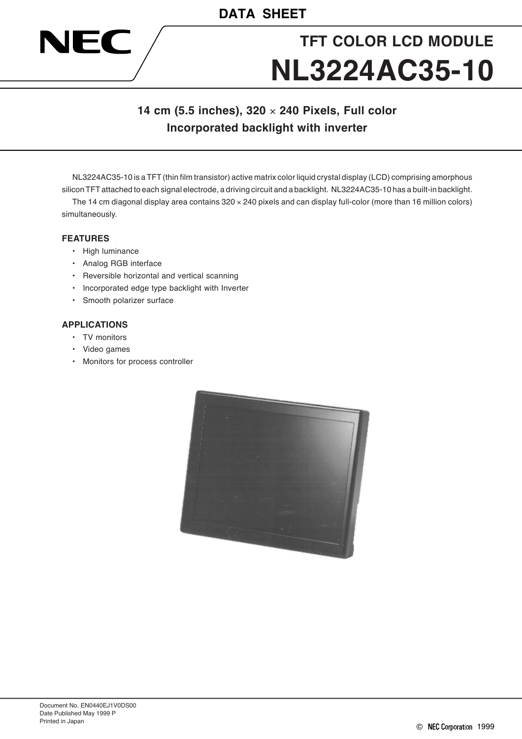# **TFT COLOR LCD MODULE NL3224AC35-10**

## **14 cm (5.5 inches), 320** × **240 Pixels, Full color Incorporated backlight with inverter**

NL3224AC35-10 is a TFT (thin film transistor) active matrix color liquid crystal display (LCD) comprising amorphous silicon TFT attached to each signal electrode, a driving circuit and a backlight. NL3224AC35-10 has a built-in backlight.

The 14 cm diagonal display area contains  $320 \times 240$  pixels and can display full-color (more than 16 million colors) simultaneously.

#### **FEATURES**

NEC

- High luminance
- Analog RGB interface
- Reversible horizontal and vertical scanning
- Incorporated edge type backlight with Inverter
- Smooth polarizer surface

#### **APPLICATIONS**

- TV monitors
- Video games
- Monitors for process controller

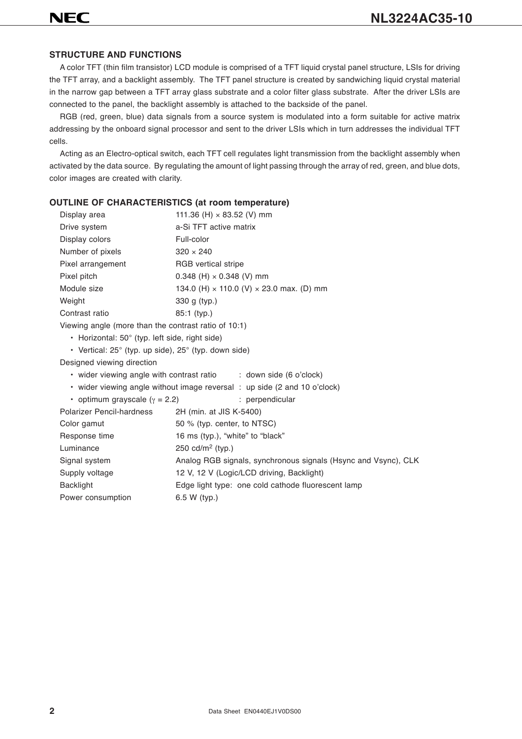#### **STRUCTURE AND FUNCTIONS**

A color TFT (thin film transistor) LCD module is comprised of a TFT liquid crystal panel structure, LSIs for driving the TFT array, and a backlight assembly. The TFT panel structure is created by sandwiching liquid crystal material in the narrow gap between a TFT array glass substrate and a color filter glass substrate. After the driver LSIs are connected to the panel, the backlight assembly is attached to the backside of the panel.

RGB (red, green, blue) data signals from a source system is modulated into a form suitable for active matrix addressing by the onboard signal processor and sent to the driver LSIs which in turn addresses the individual TFT cells.

Acting as an Electro-optical switch, each TFT cell regulates light transmission from the backlight assembly when activated by the data source. By regulating the amount of light passing through the array of red, green, and blue dots, color images are created with clarity.

#### **OUTLINE OF CHARACTERISTICS (at room temperature)**

| Display area                                          | 111.36 (H) $\times$ 83.52 (V) mm                       |  |  |  |  |
|-------------------------------------------------------|--------------------------------------------------------|--|--|--|--|
| Drive system                                          | a-Si TFT active matrix                                 |  |  |  |  |
| Display colors                                        | Full-color                                             |  |  |  |  |
| Number of pixels                                      | $320 \times 240$                                       |  |  |  |  |
| Pixel arrangement                                     | <b>RGB</b> vertical stripe                             |  |  |  |  |
| Pixel pitch                                           | $0.348$ (H) $\times$ 0.348 (V) mm                      |  |  |  |  |
| Module size                                           | 134.0 (H) $\times$ 110.0 (V) $\times$ 23.0 max. (D) mm |  |  |  |  |
| Weight                                                | 330 g (typ.)                                           |  |  |  |  |
| Contrast ratio                                        | $85:1$ (typ.)                                          |  |  |  |  |
| Viewing angle (more than the contrast ratio of 10:1)  |                                                        |  |  |  |  |
| • Horizontal: $50^\circ$ (typ. left side, right side) |                                                        |  |  |  |  |

• Vertical: 25° (typ. up side), 25° (typ. down side)

Designed viewing direction

• wider viewing angle with contrast ratio : down side (6 o'clock)

• wider viewing angle without image reversal : up side (2 and 10 o'clock)

| • optimum grayscale ( $\gamma$ = 2.2) | : perpendicular                                                |
|---------------------------------------|----------------------------------------------------------------|
| <b>Polarizer Pencil-hardness</b>      | 2H (min. at JIS K-5400)                                        |
| Color gamut                           | 50 % (typ. center, to NTSC)                                    |
| Response time                         | 16 ms (typ.), "white" to "black"                               |
| Luminance                             | 250 cd/m <sup>2</sup> (typ.)                                   |
| Signal system                         | Analog RGB signals, synchronous signals (Hsync and Vsync), CLK |
| Supply voltage                        | 12 V, 12 V (Logic/LCD driving, Backlight)                      |
| <b>Backlight</b>                      | Edge light type: one cold cathode fluorescent lamp             |
| Power consumption                     | $6.5 W$ (typ.)                                                 |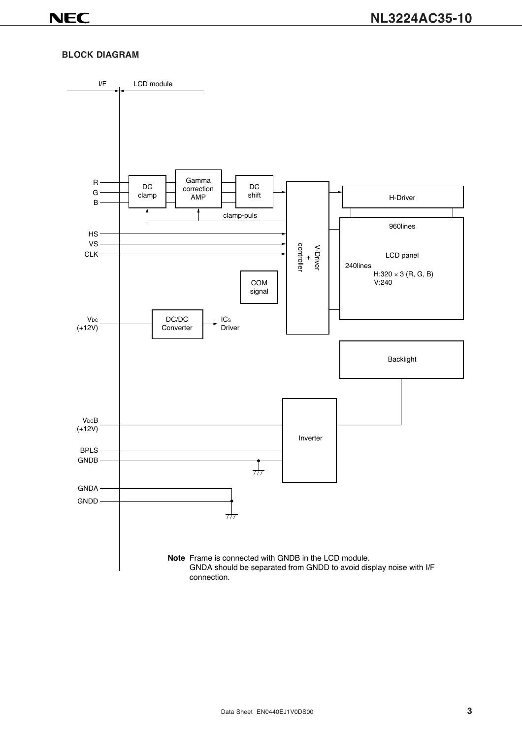#### **BLOCK DIAGRAM**

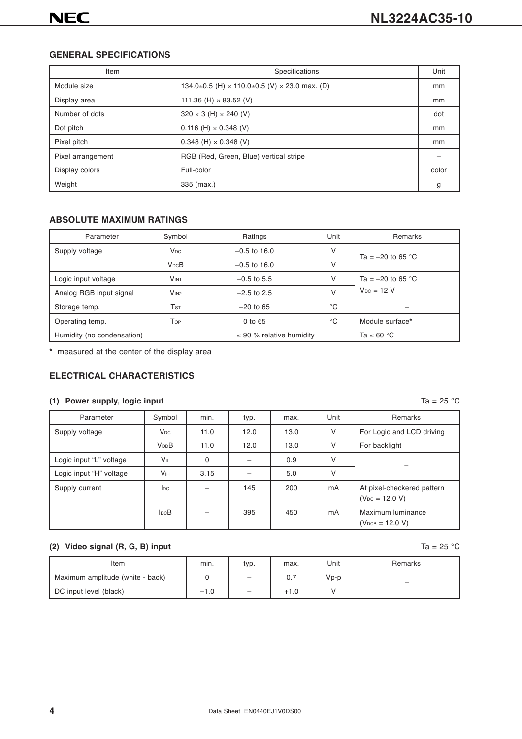#### **GENERAL SPECIFICATIONS**

| Item              | Specifications                                              | Unit  |
|-------------------|-------------------------------------------------------------|-------|
| Module size       | 134.0±0.5 (H) $\times$ 110.0±0.5 (V) $\times$ 23.0 max. (D) | mm    |
| Display area      | 111.36 (H) $\times$ 83.52 (V)                               | mm    |
| Number of dots    | $320 \times 3$ (H) $\times$ 240 (V)                         | dot   |
| Dot pitch         | $0.116$ (H) $\times$ 0.348 (V)                              | mm    |
| Pixel pitch       | $0.348$ (H) $\times$ 0.348 (V)                              | mm    |
| Pixel arrangement | RGB (Red, Green, Blue) vertical stripe                      |       |
| Display colors    | Full-color                                                  | color |
| Weight            | 335 (max.)                                                  | g     |

#### **ABSOLUTE MAXIMUM RATINGS**

| Parameter                  | Symbol                              | Ratings                       | Unit            | Remarks             |  |
|----------------------------|-------------------------------------|-------------------------------|-----------------|---------------------|--|
| Supply voltage             | $V_{DC}$                            | $-0.5$ to 16.0                | V               | Ta = $-20$ to 65 °C |  |
|                            | <b>V<sub>DC</sub>B</b>              | $-0.5$ to 16.0                | V               |                     |  |
| Logic input voltage        | V <sub>IN1</sub>                    | $-0.5$ to 5.5                 | V               | Ta = $-20$ to 65 °C |  |
| Analog RGB input signal    | V <sub>IN2</sub>                    | $-2.5$ to 2.5                 | $\vee$          | $V_{DC} = 12 V$     |  |
| Storage temp.              | $\mathsf{T}\mathsf{s}\mathsf{\tau}$ | $-20$ to 65                   | $^{\circ}C$     |                     |  |
| Operating temp.            | Top                                 | $0$ to $65$                   | $^{\circ}$ C    | Module surface*     |  |
| Humidity (no condensation) |                                     | $\leq$ 90 % relative humidity | Ta $\leq 60$ °C |                     |  |

**\*** measured at the center of the display area

#### **ELECTRICAL CHARACTERISTICS**

#### **(1) Power supply, logic input** Ta = 25 °C

| Parameter               | Symbol                 | min.     | typ. | max. | Unit   | Remarks                                           |
|-------------------------|------------------------|----------|------|------|--------|---------------------------------------------------|
| Supply voltage          | $V_{DC}$               | 11.0     | 12.0 | 13.0 | V      | For Logic and LCD driving                         |
|                         | <b>V<sub>DD</sub>B</b> | 11.0     | 12.0 | 13.0 | $\vee$ | For backlight                                     |
| Logic input "L" voltage | <b>VIL</b>             | $\Omega$ |      | 0.9  | v      |                                                   |
| Logic input "H" voltage | <b>V<sub>IH</sub></b>  | 3.15     |      | 5.0  | $\vee$ |                                                   |
| Supply current          | $_{\text{loc}}$        |          | 145  | 200  | mA     | At pixel-checkered pattern<br>$(V_{DC} = 12.0 V)$ |
|                         | $I_{DC}B$              |          | 395  | 450  | mA     | Maximum luminance<br>$(V_{DCB} = 12.0 V)$         |

#### **(2) Video signal (R, G, B) input**  $\begin{bmatrix} 2a & b \\ 0 & b \end{bmatrix}$   $\begin{bmatrix} 25 & 0 \\ 0 & 0 \end{bmatrix}$

| Item                             | min.   | typ.              | max.   | Unit | Remarks |
|----------------------------------|--------|-------------------|--------|------|---------|
| Maximum amplitude (white - back) |        | $\qquad \qquad -$ | 0.7    | Vp-p | -       |
| DC input level (black)           | $-1.0$ | $\qquad \qquad -$ | $+1.0$ |      |         |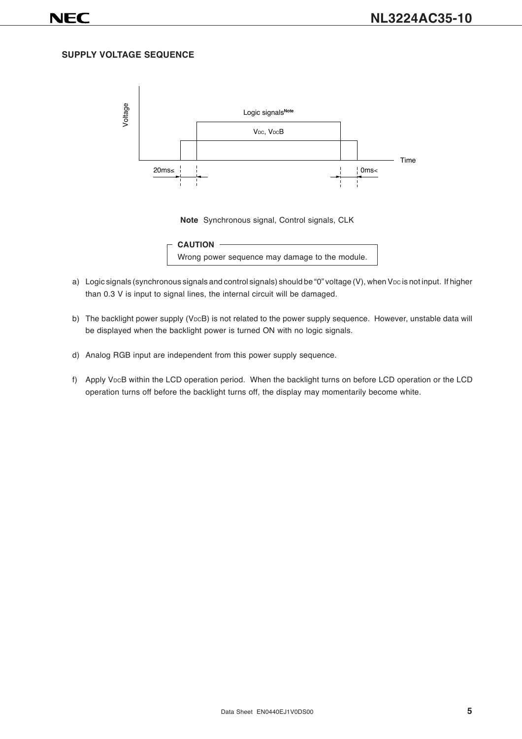#### **SUPPLY VOLTAGE SEQUENCE**



**Note** Synchronous signal, Control signals, CLK



- a) Logic signals (synchronous signals and control signals) should be "0" voltage (V), when VDC is not input. If higher than 0.3 V is input to signal lines, the internal circuit will be damaged.
- b) The backlight power supply (VDCB) is not related to the power supply sequence. However, unstable data will be displayed when the backlight power is turned ON with no logic signals.
- d) Analog RGB input are independent from this power supply sequence.
- f) Apply VDCB within the LCD operation period. When the backlight turns on before LCD operation or the LCD operation turns off before the backlight turns off, the display may momentarily become white.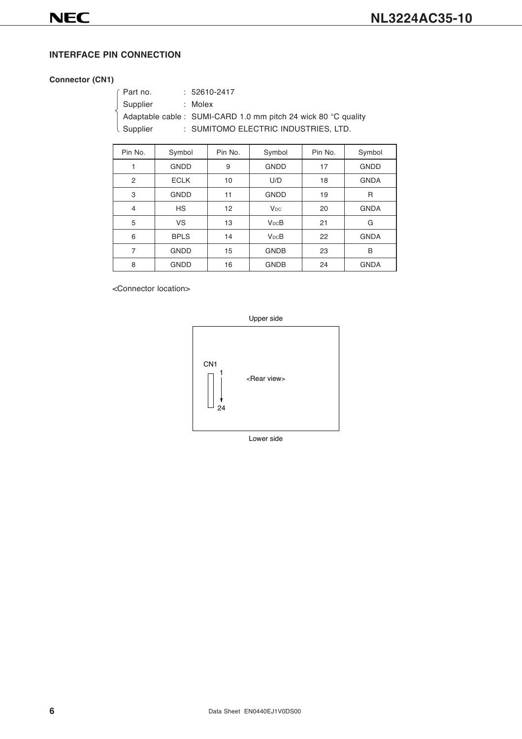#### **INTERFACE PIN CONNECTION**

#### **Connector (CN1)**

| Part no.   | $: 52610 - 2417$                                               |
|------------|----------------------------------------------------------------|
| Supplier   | : Molex                                                        |
|            | Adaptable cable : SUMI-CARD 1.0 mm pitch 24 wick 80 °C quality |
| I Supplier | : SUMITOMO ELECTRIC INDUSTRIES, LTD.                           |
|            |                                                                |

| Pin No.        | Symbol      | Pin No. | Symbol                 | Pin No. | Symbol      |
|----------------|-------------|---------|------------------------|---------|-------------|
| 1              | <b>GNDD</b> | 9       | <b>GNDD</b>            | 17      | <b>GNDD</b> |
| $\overline{2}$ | <b>ECLK</b> | 10      | U/D                    | 18      | <b>GNDA</b> |
| 3              | <b>GNDD</b> | 11      | <b>GNDD</b>            | 19      | R           |
| $\overline{4}$ | <b>HS</b>   | 12      | <b>V<sub>DC</sub></b>  | 20      | <b>GNDA</b> |
| 5              | VS          | 13      | <b>V<sub>DC</sub>B</b> | 21      | G           |
| 6              | <b>BPLS</b> | 14      | $V_{DC}B$              | 22      | <b>GNDA</b> |
| 7              | <b>GNDD</b> | 15      | <b>GNDB</b>            | 23      | B           |
| 8              | <b>GNDD</b> | 16      | <b>GNDB</b>            | 24      | <b>GNDA</b> |

<Connector location>



**6** Data Sheet EN0440EJ1V0DS00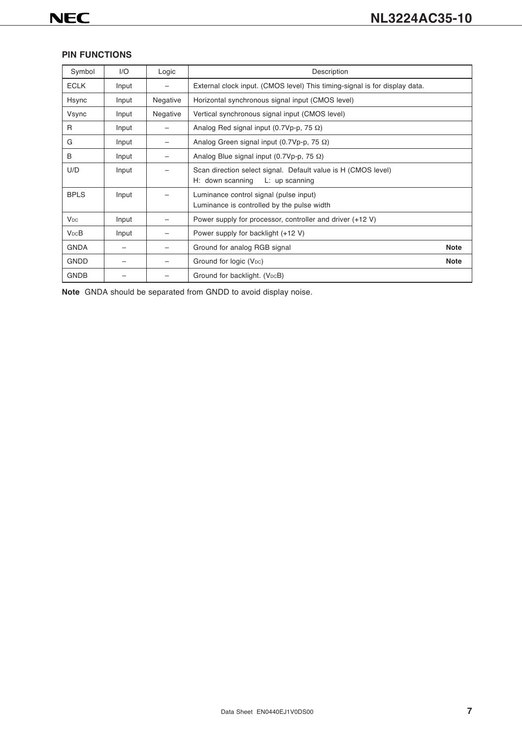#### **PIN FUNCTIONS**

| Symbol                 | 1/O   | Logic    | Description                                                                                         |             |
|------------------------|-------|----------|-----------------------------------------------------------------------------------------------------|-------------|
| <b>ECLK</b>            | Input |          | External clock input. (CMOS level) This timing-signal is for display data.                          |             |
| Hsync                  | Input | Negative | Horizontal synchronous signal input (CMOS level)                                                    |             |
| Vsync                  | Input | Negative | Vertical synchronous signal input (CMOS level)                                                      |             |
| R                      | Input |          | Analog Red signal input (0.7Vp-p, 75 $\Omega$ )                                                     |             |
| G                      | Input |          | Analog Green signal input (0.7Vp-p, 75 $\Omega$ )                                                   |             |
| B                      | Input |          | Analog Blue signal input (0.7Vp-p, 75 $\Omega$ )                                                    |             |
| U/D                    | Input |          | Scan direction select signal. Default value is H (CMOS level)<br>H: down scanning<br>L: up scanning |             |
| <b>BPLS</b>            | Input |          | Luminance control signal (pulse input)<br>Luminance is controlled by the pulse width                |             |
| <b>V<sub>DC</sub></b>  | Input |          | Power supply for processor, controller and driver (+12 V)                                           |             |
| <b>V<sub>DC</sub>B</b> | Input |          | Power supply for backlight (+12 V)                                                                  |             |
| <b>GNDA</b>            |       |          | Ground for analog RGB signal                                                                        | <b>Note</b> |
| <b>GNDD</b>            |       |          | Ground for logic (V <sub>DC</sub> )                                                                 | <b>Note</b> |
| <b>GNDB</b>            |       |          | Ground for backlight. (V <sub>DC</sub> B)                                                           |             |

**Note** GNDA should be separated from GNDD to avoid display noise.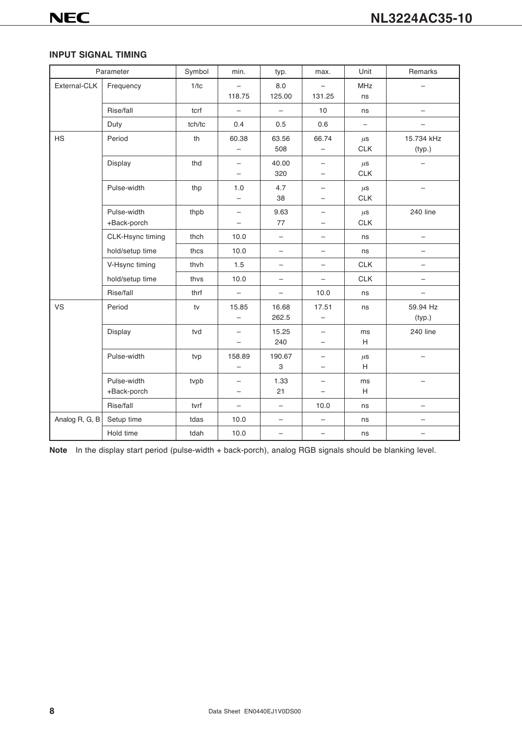#### **INPUT SIGNAL TIMING**

|                | Parameter        | Symbol | min.                     | typ.                     | max.                     | Unit       | Remarks                  |
|----------------|------------------|--------|--------------------------|--------------------------|--------------------------|------------|--------------------------|
| External-CLK   | Frequency        | 1/tc   | $\overline{\phantom{0}}$ | 8.0                      |                          | <b>MHz</b> |                          |
|                |                  |        | 118.75                   | 125.00                   | 131.25                   | ns         |                          |
|                | Rise/fall        | tcrf   | $\overline{\phantom{0}}$ | $\overline{\phantom{0}}$ | 10                       | ns         | $\overline{\phantom{0}}$ |
|                | Duty             | tch/tc | 0.4                      | 0.5                      | 0.6                      |            |                          |
| <b>HS</b>      | Period           | th     | 60.38                    | 63.56                    | 66.74                    | $\mu$ S    | 15.734 kHz               |
|                |                  |        | -                        | 508                      |                          | <b>CLK</b> | (typ.)                   |
|                | Display          | thd    | $\overline{\phantom{0}}$ | 40.00                    | $\overline{\phantom{0}}$ | $\mu$ s    |                          |
|                |                  |        | $\overline{\phantom{0}}$ | 320                      | $\qquad \qquad -$        | CLK        |                          |
|                | Pulse-width      | thp    | 1.0                      | 4.7                      | —                        | $\mu$ S    |                          |
|                |                  |        | $\qquad \qquad -$        | 38                       | $\overline{\phantom{0}}$ | <b>CLK</b> |                          |
|                | Pulse-width      | thpb   | $\qquad \qquad -$        | 9.63                     | -                        | $\mu$ S    | 240 line                 |
|                | +Back-porch      |        | $\qquad \qquad -$        | 77                       | -                        | <b>CLK</b> |                          |
|                | CLK-Hsync timing | thch   | 10.0                     | $\qquad \qquad -$        | -                        | ns         | $\qquad \qquad -$        |
|                | hold/setup time  | thcs   | 10.0                     | $\qquad \qquad -$        | -                        | ns         | $\overline{\phantom{0}}$ |
|                | V-Hsync timing   | thvh   | 1.5                      | $\qquad \qquad -$        | -                        | CLK        |                          |
|                | hold/setup time  | thvs   | 10.0                     | $\overline{\phantom{0}}$ | $\overline{\phantom{0}}$ | <b>CLK</b> | $\qquad \qquad -$        |
|                | Rise/fall        | thrf   | $\overline{\phantom{0}}$ | $\bar{ }$                | 10.0                     | ns         | $\overline{\phantom{0}}$ |
| <b>VS</b>      | Period           | tv     | 15.85                    | 16.68                    | 17.51                    | ns         | 59.94 Hz                 |
|                |                  |        | -                        | 262.5                    |                          |            | (typ.)                   |
|                | Display          | tvd    | $\qquad \qquad -$        | 15.25                    | $\overline{\phantom{0}}$ | ms         | 240 line                 |
|                |                  |        | $\overline{\phantom{0}}$ | 240                      | $\overline{\phantom{0}}$ | H          |                          |
|                | Pulse-width      | tvp    | 158.89                   | 190.67                   | —                        | $\mu$ S    |                          |
|                |                  |        | $\overline{\phantom{0}}$ | 3                        | -                        | H          |                          |
|                | Pulse-width      | tvpb   |                          | 1.33                     |                          | ms         |                          |
|                | +Back-porch      |        | $\overline{\phantom{0}}$ | 21                       | $\overline{\phantom{0}}$ | H          |                          |
|                | Rise/fall        | tvrf   | $\overline{\phantom{0}}$ | $\overline{\phantom{0}}$ | 10.0                     | ns         |                          |
| Analog R, G, B | Setup time       | tdas   | 10.0                     | $\qquad \qquad -$        | $\overline{\phantom{0}}$ | ns         | -                        |
|                | Hold time        | tdah   | 10.0                     | $\overline{\phantom{0}}$ | $\overline{\phantom{0}}$ | ns         |                          |

**Note** In the display start period (pulse-width + back-porch), analog RGB signals should be blanking level.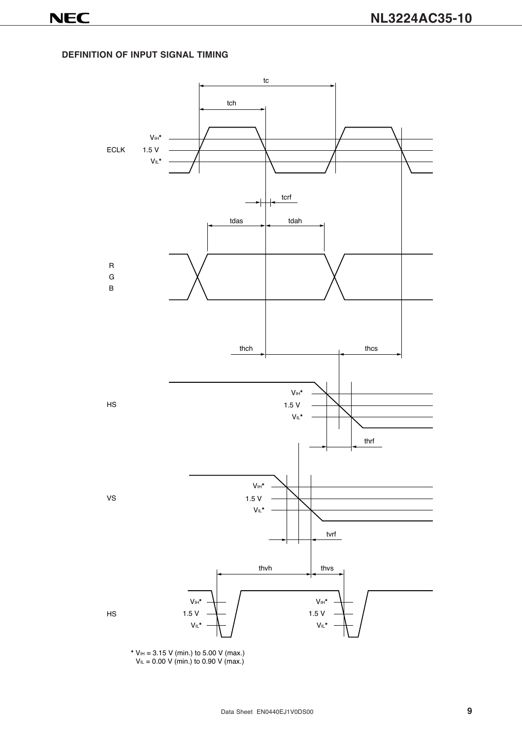**DEFINITION OF INPUT SIGNAL TIMING**



**\*** VIH = 3.15 V (min.) to 5.00 V (max.)  $V_{IL} = 0.00 V$  (min.) to 0.90 V (max.)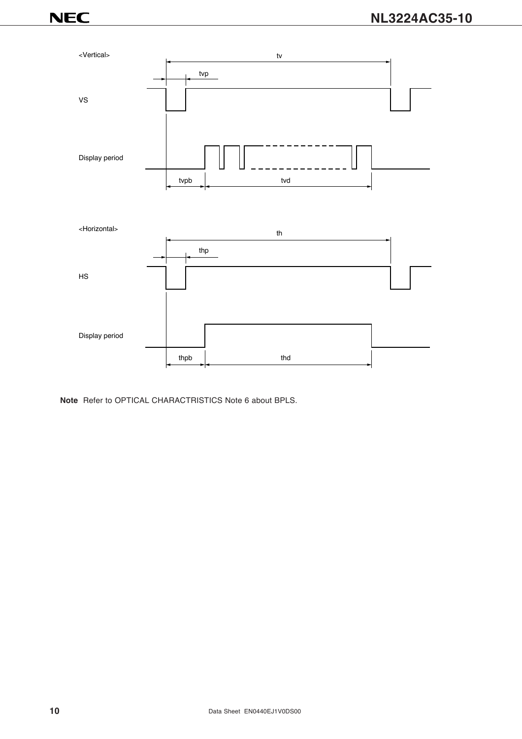

**Note** Refer to OPTICAL CHARACTRISTICS Note 6 about BPLS.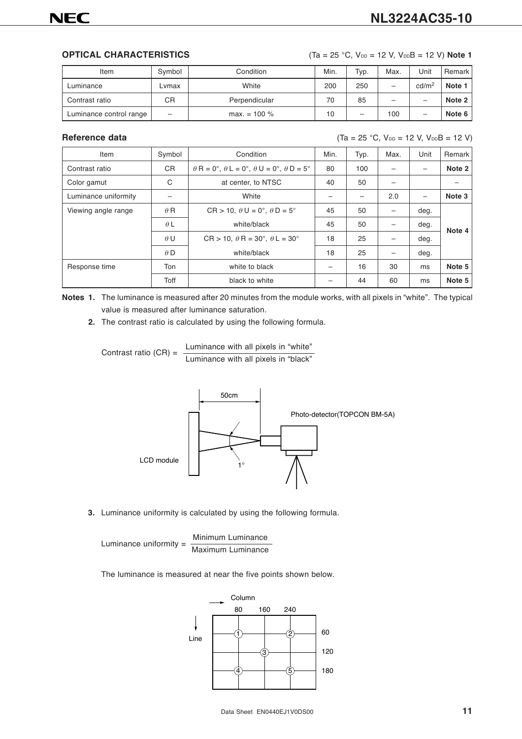**OPTICAL CHARACTERISTICS** (Ta = 25 °C,  $V_{DD}$  = 12 V,  $V_{DD}B$  = 12 V) Note 1

| Item                    | Symbol          | Condition       | Min. | Typ. | Max.                     | Unit              | Remark |
|-------------------------|-----------------|-----------------|------|------|--------------------------|-------------------|--------|
| Luminance               | ∟vmax           | White           | 200  | 250  | -                        | cd/m <sup>2</sup> | Note 1 |
| Contrast ratio          | СR              | Perpendicular   | 70   | 85   | $\overline{\phantom{0}}$ | —                 | Note 2 |
| Luminance control range | $\qquad \qquad$ | $max. = 100 \%$ | 10   | -    | 100                      | -                 | Note 6 |

**Reference data** (Ta = 25 °C, V<sub>DD</sub> = 12 V, V<sub>DD</sub>B = 12 V)

| Item                 | Symbol     | Condition                                                          | Min. | Typ. | Max. | Unit | Remark |
|----------------------|------------|--------------------------------------------------------------------|------|------|------|------|--------|
| Contrast ratio       | <b>CR</b>  | $\theta$ R = 0°, $\theta$ L = 0°, $\theta$ U = 0°, $\theta$ D = 5° | 80   | 100  |      |      | Note 2 |
| Color gamut          | C          | at center, to NTSC                                                 | 40   | 50   |      |      |        |
| Luminance uniformity |            | White                                                              |      |      | 2.0  | -    | Note 3 |
| Viewing angle range  | $\theta$ R | $CR > 10$ , $\theta U = 0^\circ$ , $\theta D = 5^\circ$            | 45   | 50   |      | deg. |        |
|                      | $\theta L$ | white/black                                                        | 45   | 50   |      | deg. | Note 4 |
|                      | $\theta U$ | $CR > 10$ , $\theta$ R = 30°, $\theta$ L = 30°                     | 18   | 25   |      | deg. |        |
|                      | $\theta$ D | white/black                                                        | 18   | 25   |      | deg. |        |
| Response time        | Ton        | white to black                                                     |      | 16   | 30   | ms   | Note 5 |
|                      | Toff       | black to white                                                     |      | 44   | 60   | ms   | Note 5 |

**Notes 1.** The luminance is measured after 20 minutes from the module works, with all pixels in "white". The typical value is measured after luminance saturation.

**2.** The contrast ratio is calculated by using the following formula.

Contrast ratio (CR) = Luminance with all pixels in "white" Luminance with all pixels in "black"



**3.** Luminance uniformity is calculated by using the following formula.

Luminance uniformity = Minimum Luminance Maximum Luminance

The luminance is measured at near the five points shown below.

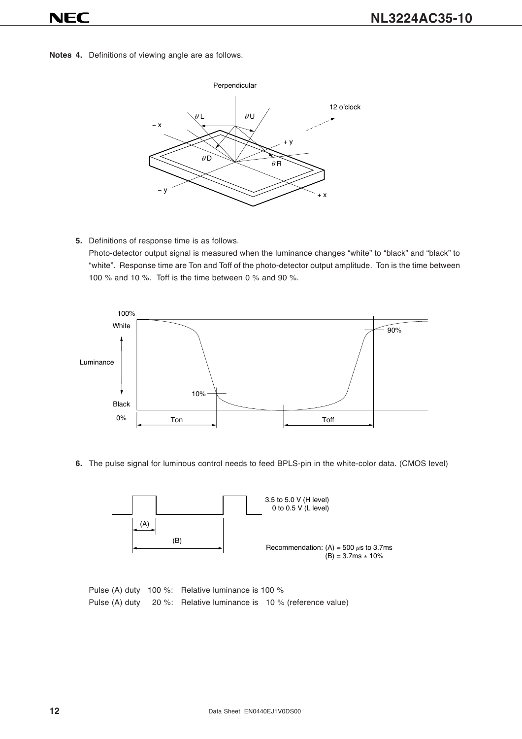**Notes 4.** Definitions of viewing angle are as follows.



**5.** Definitions of response time is as follows.

Photo-detector output signal is measured when the luminance changes "white" to "black" and "black" to "white". Response time are Ton and Toff of the photo-detector output amplitude. Ton is the time between 100 % and 10 %. Toff is the time between 0 % and 90 %.



**6.** The pulse signal for luminous control needs to feed BPLS-pin in the white-color data. (CMOS level)



Pulse (A) duty 100 %: Relative luminance is 100 % Pulse (A) duty 20 %: Relative luminance is 10 % (reference value)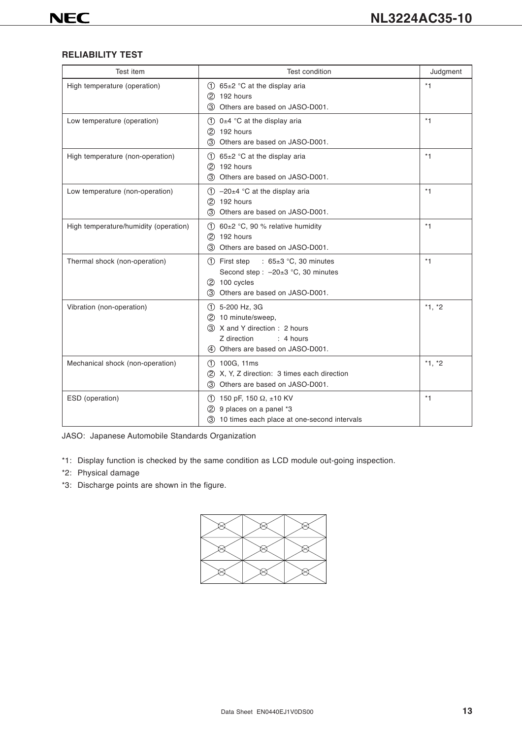#### **RELIABILITY TEST**

| <b>Test item</b>                      | <b>Test condition</b>                                                                                                                        | Judgment |
|---------------------------------------|----------------------------------------------------------------------------------------------------------------------------------------------|----------|
| High temperature (operation)          | (1) $65\pm2$ °C at the display aria<br>$(2)$ 192 hours<br>3 Others are based on JASO-D001.                                                   | $*1$     |
| Low temperature (operation)           | $(1)$ 0±4 °C at the display aria<br>2 192 hours<br>Others are based on JASO-D001.<br>(3)                                                     | $*1$     |
| High temperature (non-operation)      | $(1)$ 65±2 °C at the display aria<br>2 192 hours<br>3 Others are based on JASO-D001.                                                         | $*1$     |
| Low temperature (non-operation)       | $(1)$ -20 $\pm$ 4 °C at the display aria<br>(2) 192 hours<br>Others are based on JASO-D001.<br>(3)                                           | $*1$     |
| High temperature/humidity (operation) | $(1)$ 60±2 °C, 90 % relative humidity<br>2 192 hours<br>(3)<br>Others are based on JASO-D001.                                                | $*1$     |
| Thermal shock (non-operation)         | : $65\pm3$ °C, 30 minutes<br>1 First step<br>Second step : - 20±3 °C, 30 minutes<br>2 100 cycles<br>3 Others are based on JASO-D001.         | $*1$     |
| Vibration (non-operation)             | $(1)$ 5-200 Hz, 3G<br>(2) 10 minute/sweep.<br>3 X and Y direction : 2 hours<br>Z direction<br>: 4 hours<br>4) Others are based on JASO-D001. | $*1, *2$ |
| Mechanical shock (non-operation)      | $(1)$ 100G, 11ms<br>2 X, Y, Z direction: 3 times each direction<br>3 Others are based on JASO-D001.                                          | $*1, *2$ |
| ESD (operation)                       | $(1)$ 150 pF, 150 $\Omega$ , ±10 KV<br>9 places on a panel *3<br>(2)<br>3 10 times each place at one-second intervals                        | $*1$     |

JASO: Japanese Automobile Standards Organization

- \*1: Display function is checked by the same condition as LCD module out-going inspection.
- \*2: Physical damage
- \*3: Discharge points are shown in the figure.

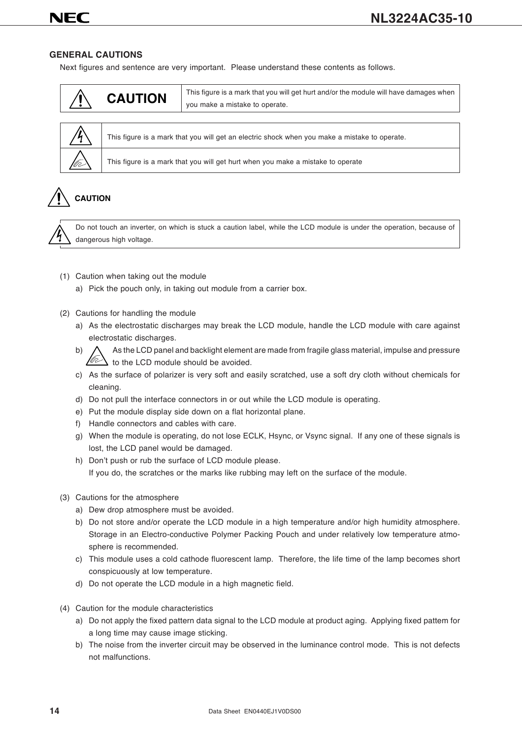#### **GENERAL CAUTIONS**

Next figures and sentence are very important. Please understand these contents as follows.

| <b>CAUTION</b> | This figure is a mark that you will get hurt and/or the module will have damages when<br>you make a mistake to operate. |
|----------------|-------------------------------------------------------------------------------------------------------------------------|
|                |                                                                                                                         |



This figure is a mark that you will get an electric shock when you make a mistake to operate.

This figure is a mark that you will get hurt when you make a mistake to operate

# **CAUTION**



Do not touch an inverter, on which is stuck a caution label, while the LCD module is under the operation, because of dangerous high voltage.

- (1) Caution when taking out the module
	- a) Pick the pouch only, in taking out module from a carrier box.
- (2) Cautions for handling the module
	- a) As the electrostatic discharges may break the LCD module, handle the LCD module with care against electrostatic discharges.
	- b)  $\Lambda$  As the LCD panel and backlight element are made from fragile glass material, impulse and pressure to the LCD module should be avoided.
	- c) As the surface of polarizer is very soft and easily scratched, use a soft dry cloth without chemicals for cleaning.
	- d) Do not pull the interface connectors in or out while the LCD module is operating.
	- e) Put the module display side down on a flat horizontal plane.
	- f) Handle connectors and cables with care.
	- g) When the module is operating, do not lose ECLK, Hsync, or Vsync signal. If any one of these signals is lost, the LCD panel would be damaged.
	- h) Don't push or rub the surface of LCD module please. If you do, the scratches or the marks like rubbing may left on the surface of the module.
- (3) Cautions for the atmosphere
	- a) Dew drop atmosphere must be avoided.
	- b) Do not store and/or operate the LCD module in a high temperature and/or high humidity atmosphere. Storage in an Electro-conductive Polymer Packing Pouch and under relatively low temperature atmosphere is recommended.
	- c) This module uses a cold cathode fluorescent lamp. Therefore, the life time of the lamp becomes short conspicuously at low temperature.
	- d) Do not operate the LCD module in a high magnetic field.
- (4) Caution for the module characteristics
	- a) Do not apply the fixed pattern data signal to the LCD module at product aging. Applying fixed pattem for a long time may cause image sticking.
	- b) The noise from the inverter circuit may be observed in the luminance control mode. This is not defects not malfunctions.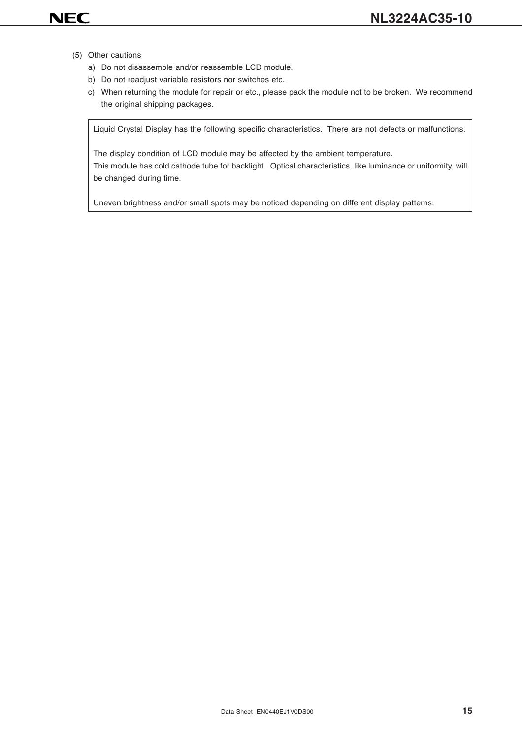- (5) Other cautions
	- a) Do not disassemble and/or reassemble LCD module.
	- b) Do not readjust variable resistors nor switches etc.
	- c) When returning the module for repair or etc., please pack the module not to be broken. We recommend the original shipping packages.

Liquid Crystal Display has the following specific characteristics. There are not defects or malfunctions.

The display condition of LCD module may be affected by the ambient temperature. This module has cold cathode tube for backlight. Optical characteristics, like luminance or uniformity, will be changed during time.

Uneven brightness and/or small spots may be noticed depending on different display patterns.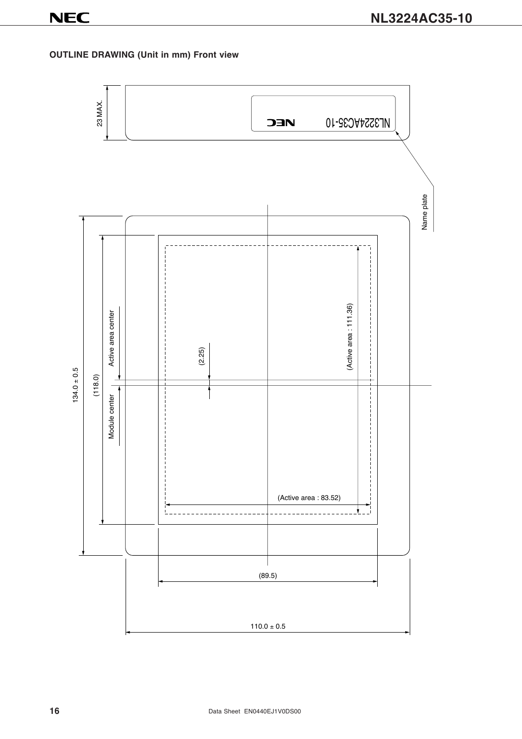### **OUTLINE DRAWING (Unit in mm) Front view**

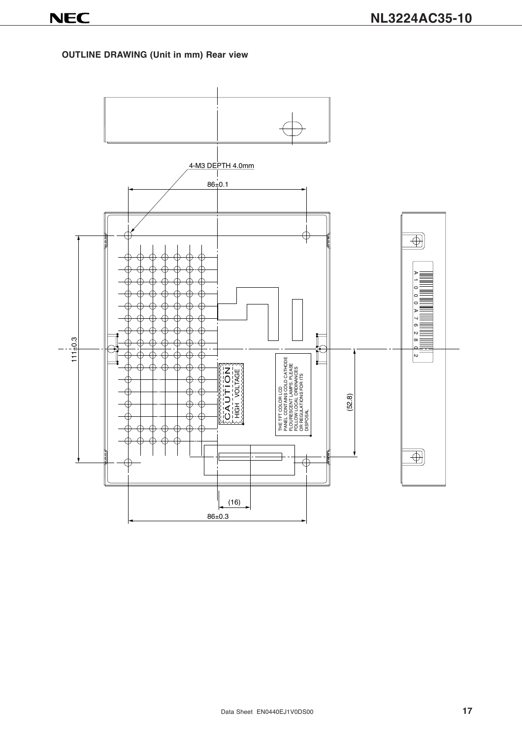### **OUTLINE DRAWING (Unit in mm) Rear view**

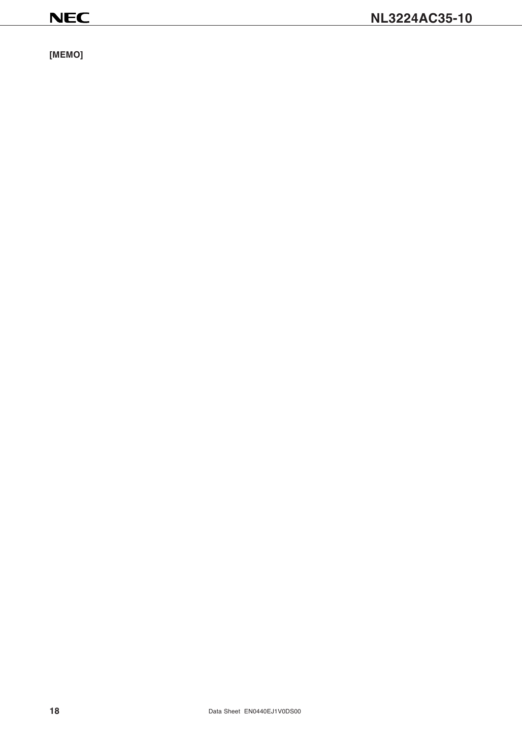**[MEMO]**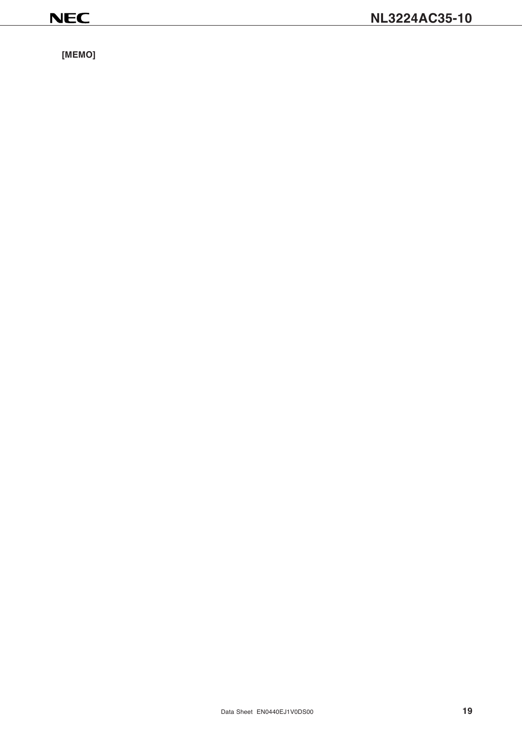**[MEMO]**